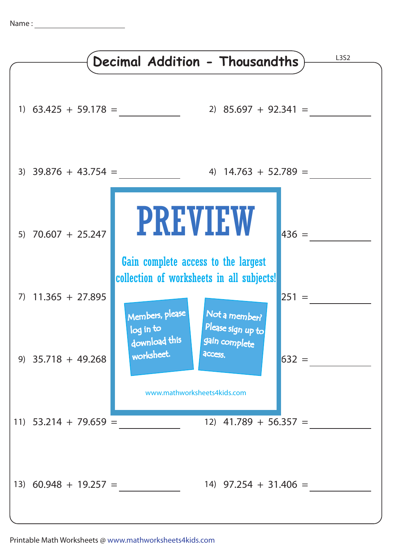